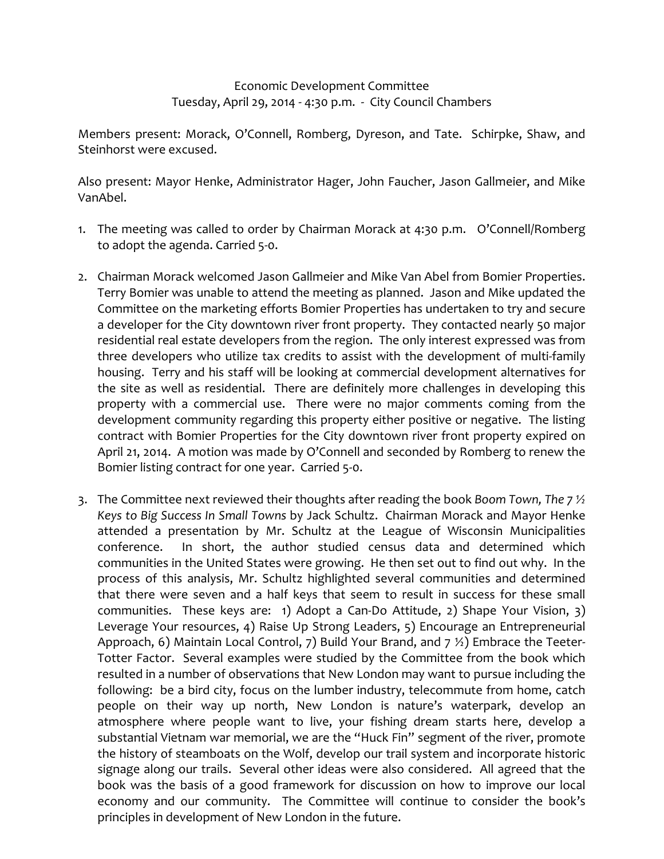## Economic Development Committee Tuesday, April 29, 2014 ‐ 4:30 p.m. ‐ City Council Chambers

Members present: Morack, O'Connell, Romberg, Dyreson, and Tate. Schirpke, Shaw, and Steinhorst were excused.

Also present: Mayor Henke, Administrator Hager, John Faucher, Jason Gallmeier, and Mike VanAbel.

- 1. The meeting was called to order by Chairman Morack at 4:30 p.m. O'Connell/Romberg to adopt the agenda. Carried 5‐0.
- 2. Chairman Morack welcomed Jason Gallmeier and Mike Van Abel from Bomier Properties. Terry Bomier was unable to attend the meeting as planned. Jason and Mike updated the Committee on the marketing efforts Bomier Properties has undertaken to try and secure a developer for the City downtown river front property. They contacted nearly 50 major residential real estate developers from the region. The only interest expressed was from three developers who utilize tax credits to assist with the development of multi‐family housing. Terry and his staff will be looking at commercial development alternatives for the site as well as residential. There are definitely more challenges in developing this property with a commercial use. There were no major comments coming from the development community regarding this property either positive or negative. The listing contract with Bomier Properties for the City downtown river front property expired on April 21, 2014. A motion was made by O'Connell and seconded by Romberg to renew the Bomier listing contract for one year. Carried 5‐0.
- 3. The Committee next reviewed their thoughts after reading the book *Boom Town, The 7 ½ Keys to Big Success In Small Towns* by Jack Schultz. Chairman Morack and Mayor Henke attended a presentation by Mr. Schultz at the League of Wisconsin Municipalities conference. In short, the author studied census data and determined which communities in the United States were growing. He then set out to find out why. In the process of this analysis, Mr. Schultz highlighted several communities and determined that there were seven and a half keys that seem to result in success for these small communities. These keys are: 1) Adopt a Can‐Do Attitude, 2) Shape Your Vision, 3) Leverage Your resources, 4) Raise Up Strong Leaders, 5) Encourage an Entrepreneurial Approach, 6) Maintain Local Control, 7) Build Your Brand, and 7  $\frac{1}{2}$ ) Embrace the Teeter-Totter Factor. Several examples were studied by the Committee from the book which resulted in a number of observations that New London may want to pursue including the following: be a bird city, focus on the lumber industry, telecommute from home, catch people on their way up north, New London is nature's waterpark, develop an atmosphere where people want to live, your fishing dream starts here, develop a substantial Vietnam war memorial, we are the "Huck Fin" segment of the river, promote the history of steamboats on the Wolf, develop our trail system and incorporate historic signage along our trails. Several other ideas were also considered. All agreed that the book was the basis of a good framework for discussion on how to improve our local economy and our community. The Committee will continue to consider the book's principles in development of New London in the future.